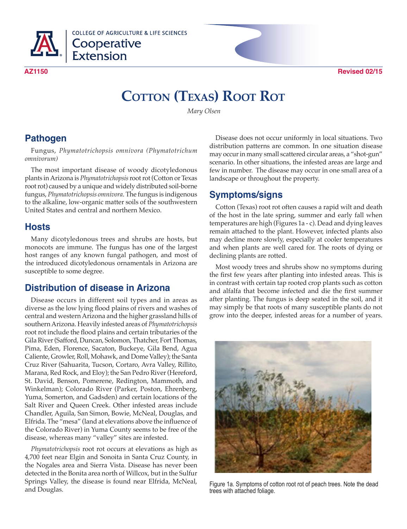

**COLLEGE OF AGRICULTURE & LIFE SCIENCES** Cooperative<br>Extension

**AZ1150 Revised 02/15**

# **COTTON (TEXAS) ROOT ROT**

*Mary Olsen*

## **Pathogen**

Fungus, *Phymatotrichopsis omnivora (Phymatotrichum omnivorum)*

The most important disease of woody dicotyledonous plants in Arizona is *Phymatotrichopsis* root rot (Cotton or Texas root rot) caused by a unique and widely distributed soil-borne fungus, *Phymatotrichopsis omnivora*. The fungus is indigenous to the alkaline, low-organic matter soils of the southwestern United States and central and northern Mexico.

#### **Hosts**

Many dicotyledonous trees and shrubs are hosts, but monocots are immune. The fungus has one of the largest host ranges of any known fungal pathogen, and most of the introduced dicotyledonous ornamentals in Arizona are susceptible to some degree.

#### **Distribution of disease in Arizona**

Disease occurs in different soil types and in areas as diverse as the low lying flood plains of rivers and washes of central and western Arizona and the higher grassland hills of southern Arizona. Heavily infested areas of *Phymatotrichopsis* root rot include the flood plains and certain tributaries of the Gila River (Safford, Duncan, Solomon, Thatcher, Fort Thomas, Pima, Eden, Florence, Sacaton, Buckeye, Gila Bend, Agua Caliente, Growler, Roll, Mohawk, and Dome Valley); the Santa Cruz River (Sahuarita, Tucson, Cortaro, Avra Valley, Rillito, Marana, Red Rock, and Eloy); the San Pedro River (Hereford, St. David, Benson, Pomerene, Redington, Mammoth, and Winkelman); Colorado River (Parker, Poston, Ehrenberg, Yuma, Somerton, and Gadsden) and certain locations of the Salt River and Queen Creek. Other infested areas include Chandler, Aguila, San Simon, Bowie, McNeal, Douglas, and Elfrida. The "mesa" (land at elevations above the influence of the Colorado River) in Yuma County seems to be free of the disease, whereas many "valley" sites are infested.

*Phymatotrichopsis* root rot occurs at elevations as high as 4,700 feet near Elgin and Sonoita in Santa Cruz County, in the Nogales area and Sierra Vista. Disease has never been detected in the Bonita area north of Willcox, but in the Sulfur Springs Valley, the disease is found near Elfrida, McNeal, and Douglas.

Disease does not occur uniformly in local situations. Two distribution patterns are common. In one situation disease may occur in many small scattered circular areas, a "shot-gun" scenario. In other situations, the infested areas are large and few in number. The disease may occur in one small area of a landscape or throughout the property.

#### **Symptoms/signs**

Cotton (Texas) root rot often causes a rapid wilt and death of the host in the late spring, summer and early fall when temperatures are high (Figures 1a - c). Dead and dying leaves remain attached to the plant. However, infected plants also may decline more slowly, especially at cooler temperatures and when plants are well cared for. The roots of dying or declining plants are rotted.

Most woody trees and shrubs show no symptoms during the first few years after planting into infested areas. This is in contrast with certain tap rooted crop plants such as cotton and alfalfa that become infected and die the first summer after planting. The fungus is deep seated in the soil, and it may simply be that roots of many susceptible plants do not grow into the deeper, infested areas for a number of years.



Figure 1a. Symptoms of cotton root rot of peach trees. Note the dead trees with attached foliage.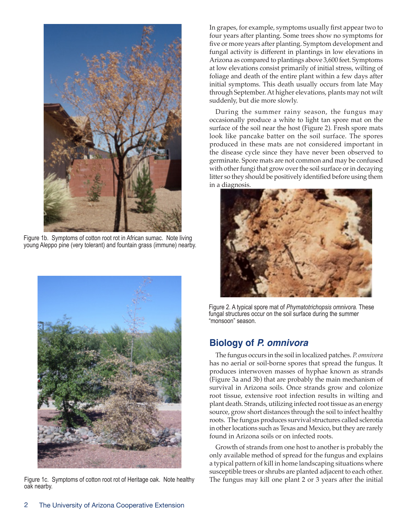

Figure 1b. Symptoms of cotton root rot in African sumac. Note living young Aleppo pine (very tolerant) and fountain grass (immune) nearby.



Figure 1c. Symptoms of cotton root rot of Heritage oak. Note healthy oak nearby.

In grapes, for example, symptoms usually first appear two to four years after planting. Some trees show no symptoms for five or more years after planting. Symptom development and fungal activity is different in plantings in low elevations in Arizona as compared to plantings above 3,600 feet. Symptoms at low elevations consist primarily of initial stress, wilting of foliage and death of the entire plant within a few days after initial symptoms. This death usually occurs from late May through September. At higher elevations, plants may not wilt suddenly, but die more slowly.

During the summer rainy season, the fungus may occasionally produce a white to light tan spore mat on the surface of the soil near the host (Figure 2). Fresh spore mats look like pancake batter on the soil surface. The spores produced in these mats are not considered important in the disease cycle since they have never been observed to germinate. Spore mats are not common and may be confused with other fungi that grow over the soil surface or in decaying litter so they should be positively identified before using them in a diagnosis.



Figure 2. A typical spore mat of *Phymatotrichopsis omnivora.* These fungal structures occur on the soil surface during the summer "monsoon" season.

#### **Biology of** *P. omnivora*

The fungus occurs in the soil in localized patches. *P. omnivora* has no aerial or soil-borne spores that spread the fungus. It produces interwoven masses of hyphae known as strands (Figure 3a and 3b) that are probably the main mechanism of survival in Arizona soils. Once strands grow and colonize root tissue, extensive root infection results in wilting and plant death. Strands, utilizing infected root tissue as an energy source, grow short distances through the soil to infect healthy roots. The fungus produces survival structures called sclerotia in other locations such as Texas and Mexico, but they are rarely found in Arizona soils or on infected roots.

Growth of strands from one host to another is probably the only available method of spread for the fungus and explains a typical pattern of kill in home landscaping situations where susceptible trees or shrubs are planted adjacent to each other. The fungus may kill one plant 2 or 3 years after the initial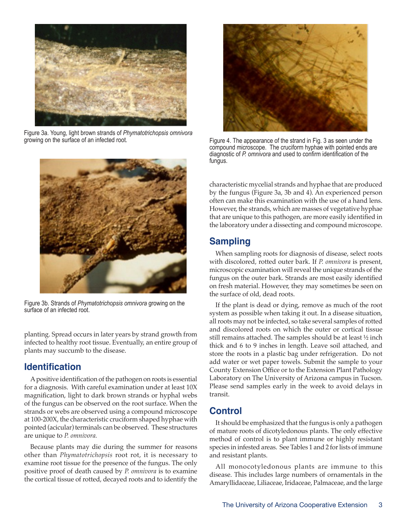

Figure 3a. Young, light brown strands of *Phymatotrichopsis omnivora* growing on the surface of an infected root.



Figure 3b. Strands of *Phymatotrichopsis omnivora* growing on the surface of an infected root.

planting. Spread occurs in later years by strand growth from infected to healthy root tissue. Eventually, an entire group of plants may succumb to the disease.

#### **Identification**

A positive identification of the pathogen on roots is essential for a diagnosis. With careful examination under at least 10X magnification, light to dark brown strands or hyphal webs of the fungus can be observed on the root surface. When the strands or webs are observed using a compound microscope at 100-200X, the characteristic cruciform shaped hyphae with pointed (acicular) terminals can be observed. These structures are unique to *P. omnivora.*

Because plants may die during the summer for reasons other than *Phymatotrichopsis* root rot, it is necessary to examine root tissue for the presence of the fungus. The only positive proof of death caused by *P. omnivora* is to examine the cortical tissue of rotted, decayed roots and to identify the



Figure 4. The appearance of the strand in Fig. 3 as seen under the compound microscope. The cruciform hyphae with pointed ends are diagnostic of *P. omnivora* and used to confirm identification of the fungus.

characteristic mycelial strands and hyphae that are produced by the fungus (Figure 3a, 3b and 4). An experienced person often can make this examination with the use of a hand lens. However, the strands, which are masses of vegetative hyphae that are unique to this pathogen, are more easily identified in the laboratory under a dissecting and compound microscope.

# **Sampling**

When sampling roots for diagnosis of disease, select roots with discolored, rotted outer bark. If *P. omnivora* is present, microscopic examination will reveal the unique strands of the fungus on the outer bark. Strands are most easily identified on fresh material. However, they may sometimes be seen on the surface of old, dead roots.

If the plant is dead or dying, remove as much of the root system as possible when taking it out. In a disease situation, all roots may not be infected, so take several samples of rotted and discolored roots on which the outer or cortical tissue still remains attached. The samples should be at least ½ inch thick and 6 to 9 inches in length. Leave soil attached, and store the roots in a plastic bag under refrigeration. Do not add water or wet paper towels. Submit the sample to your County Extension Office or to the Extension Plant Pathology Laboratory on The University of Arizona campus in Tucson. Please send samples early in the week to avoid delays in transit.

#### **Control**

It should be emphasized that the fungus is only a pathogen of mature roots of dicotyledonous plants. The only effective method of control is to plant immune or highly resistant species in infested areas. See Tables 1 and 2 for lists of immune and resistant plants.

All monocotyledonous plants are immune to this disease. This includes large numbers of ornamentals in the Amaryllidaceae, Liliaceae, Iridaceae, Palmaceae, and the large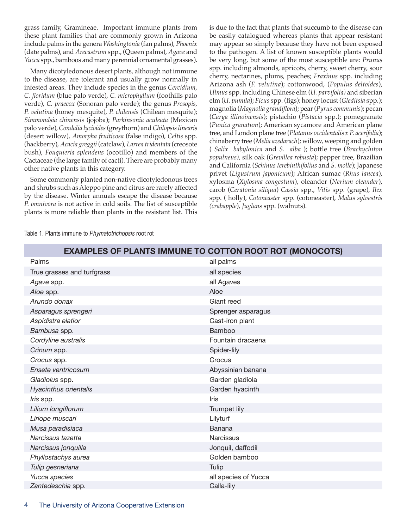grass family, Gramineae. Important immune plants from these plant families that are commonly grown in Arizona include palms in the genera *Washingtonia* (fan palms), *Phoenix*  (date palms), and *Arecastrum* spp., (Queen palms), *Agave* and *Yucca* spp., bamboos and many perennial ornamental grasses).

Many dicotyledonous desert plants, although not immune to the disease, are tolerant and usually grow normally in infested areas. They include species in the genus *Cercidium, C. floridum* (blue palo verde), *C. microphyllum* (foothills palo verde), *C. praecox* (Sonoran palo verde); the genus *Prosopis, P. velutina* (honey mesquite), *P. chilensis* (Chilean mesquite); *Simmondsia chinensis* (jojoba); *Parkinsonia aculeata* (Mexican palo verde), *Condalia lycioides* (greythorn) and *Chilopsis linearis* (desert willow), *Amorpha fruiticosa* (false indigo), *Celtis* spp. (hackberry), *Acacia greggii* (catclaw), *Larrea tridentata* (creosote bush), *Fouquieria splendens* (ocotillo) and members of the Cactaceae (the large family of cacti). There are probably many other native plants in this category.

Some commonly planted non-native dicotyledonous trees and shrubs such as Aleppo pine and citrus are rarely affected by the disease. Winter annuals escape the disease because *P. omnivora* is not active in cold soils. The list of susceptible plants is more reliable than plants in the resistant list. This is due to the fact that plants that succumb to the disease can be easily catalogued whereas plants that appear resistant may appear so simply because they have not been exposed to the pathogen. A list of known susceptible plants would be very long, but some of the most susceptible are: *Prunus*  spp. including almonds, apricots, cherry, sweet cherry, sour cherry, nectarines, plums, peaches; *Fraxinus* spp. including Arizona ash (*F. velutina*); cottonwood, (*Populus deltoides*), *Ulmus* spp. including Chinese elm (*U. parvifolia)* and siberian elm (*U. pumila*); *Ficus* spp. (figs); honey locust (*Gleditsia* spp.); magnolia (*Magnolia grandiflora*); pear (*Pyrus communis*); pecan (*Carya illinoinensis*); pistachio (*Pistacia* spp.); pomegranate (*Punica granatum*); American sycamore and American plane tree, and London plane tree (*Platanus occidentalis x P. acerifolia*); chinaberry tree (*Melia azedarach*); willow, weeping and golden ( *Salix babylonica* and *S. alba* ); bottle tree (*Brachychiton populneus)*, silk oak (*Grevillea robusta*); pepper tree, Brazilian and California (*Schinus terebinthifolius* and *S. molle*); Japanese privet (*Ligustrum japonicum*); African sumac (*Rhus lancea*), xylosma (*Xylosma congestum*), oleander (*Nerium oleander*), carob (*Ceratonia siliqua*) *Cassia* spp., *Vitis* spp. (grape), *Ilex*  spp. ( holly), *Cotoneaster* spp. (cotoneaster), *Malus sylvestris (crabapple*), *Juglans* spp. (walnuts).

| <b>EXAMPLES OF PLANTS IMMUNE TO COTTON ROOT ROT (MONOCOTS)</b> |                      |
|----------------------------------------------------------------|----------------------|
| Palms                                                          | all palms            |
| True grasses and turfgrass                                     | all species          |
| Agave spp.                                                     | all Agaves           |
| Aloe spp.                                                      | Aloe                 |
| Arundo donax                                                   | Giant reed           |
| Asparagus sprengeri                                            | Sprenger asparagus   |
| Aspidistra elatior                                             | Cast-iron plant      |
| Bambusa spp.                                                   | <b>Bamboo</b>        |
| Cordyline australis                                            | Fountain dracaena    |
| Crinum spp.                                                    | Spider-lily          |
| Crocus spp.                                                    | Crocus               |
| Ensete ventricosum                                             | Abyssinian banana    |
| Gladiolus spp.                                                 | Garden gladiola      |
| Hyacinthus orientalis                                          | Garden hyacinth      |
| <i>Iris</i> spp.                                               | <b>Iris</b>          |
| Lilium longiflorum                                             | Trumpet lily         |
| Liriope muscari                                                | Lilyturf             |
| Musa paradisiaca                                               | Banana               |
| Narcissus tazetta                                              | <b>Narcissus</b>     |
| Narcissus jonquilla                                            | Jonquil, daffodil    |
| Phyllostachys aurea                                            | Golden bamboo        |
| Tulip gesneriana                                               | Tulip                |
| Yucca species                                                  | all species of Yucca |
| Zantedeschia spp.                                              | Calla-lily           |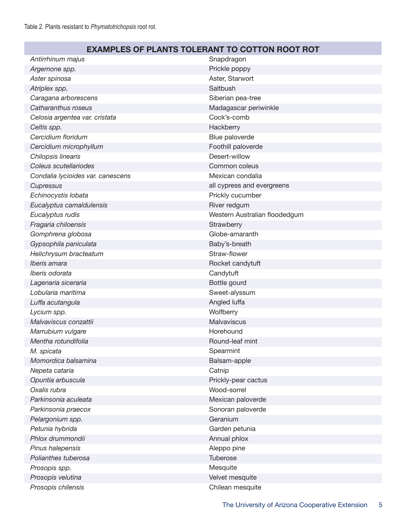## **EXAMPLES OF PLANTS TOLERANT TO COTTON ROOT ROT**

| Antirrhinum majus                 | Snapdragon                    |
|-----------------------------------|-------------------------------|
| Argemone spp.                     | Prickle poppy                 |
| Aster spinosa                     | Aster, Starwort               |
| Atriplex spp.                     | Saltbush                      |
| Caragana arborescens              | Siberian pea-tree             |
| Catharanthus roseus               | Madagascar periwinkle         |
| Celosia argentea var. cristata    | Cock's-comb                   |
| Celtis spp.                       | Hackberry                     |
| Cercidium floridum                | Blue paloverde                |
| Cercidium microphyllum            | Foothill paloverde            |
| Chilopsis linearis                | Desert-willow                 |
| Coleus scutellariodes             | Common coleus                 |
| Condalia lycioides var. canescens | Mexican condalia              |
| Cupressus                         | all cypress and evergreens    |
| Echinocystis lobata               | Prickly cucumber              |
| Eucalyptus camaldulensis          | River redgum                  |
| Eucalyptus rudis                  | Western Australian floodedgum |
| Fragaria chiloensis               | Strawberry                    |
| Gomphrena globosa                 | Globe-amaranth                |
| Gypsophila paniculata             | Baby's-breath                 |
| Helichrysum bracteatum            | Straw-flower                  |
| Iberis amara                      | Rocket candytuft              |
| Iberis odorata                    | Candytuft                     |
| Lagenaria siceraria               | Bottle gourd                  |
| Lobularia maritima                | Sweet-alyssum                 |
| Luffa acutangula                  | Angled luffa                  |
| Lycium spp.                       | Wolfberry                     |
| Malvaviscus conzattii             | <b>Malvaviscus</b>            |
| Marrubium vulgare                 | Horehound                     |
| Mentha rotundifolia               | Round-leaf mint               |
| M. spicata                        | Spearmint                     |
| Momordica balsamina               | Balsam-apple                  |
| Nepeta cataria                    | Catnip                        |
| Opuntia arbuscula                 | Prickly-pear cactus           |
| Oxalis rubra                      | Wood-sorrel                   |
| Parkinsonia aculeata              | Mexican paloverde             |
| Parkinsonia praecox               | Sonoran paloverde             |
| Pelargonium spp.                  | Geranium                      |
| Petunia hybrida                   | Garden petunia                |
| Phlox drummondii                  | Annual phlox                  |
| Pinus halepensis                  | Aleppo pine                   |
| Polianthes tuberosa               | Tuberose                      |
| Prosopis spp.                     | Mesquite                      |
| Prosopis velutina                 | Velvet mesquite               |
| Prosopis chilensis                | Chilean mesquite              |